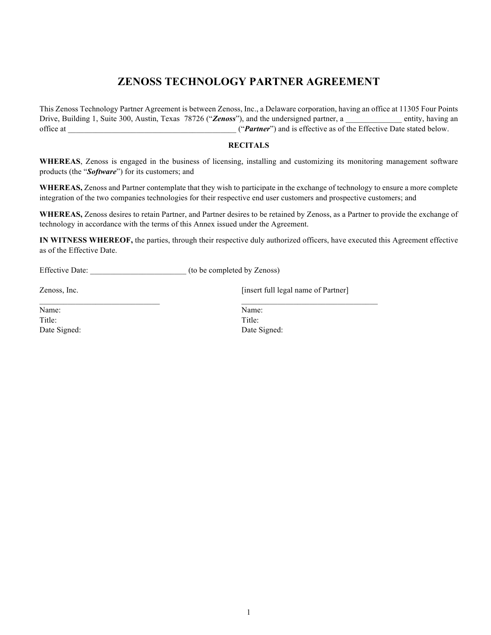# **ZENOSS TECHNOLOGY PARTNER AGREEMENT**

This Zenoss Technology Partner Agreement is between Zenoss, Inc., a Delaware corporation, having an office at 11305 Four Points Drive, Building 1, Suite 300, Austin, Texas 78726 ("*Zenoss*"), and the undersigned partner, a \_\_\_\_\_\_\_\_\_\_\_\_\_\_ entity, having an office at \_\_\_\_\_\_\_\_\_\_\_\_\_\_\_\_\_\_\_\_\_\_\_\_\_\_\_\_\_\_\_\_\_\_\_\_\_\_\_\_\_\_ ("*Partner*") and is effective as of the Effective Date stated below.

#### **RECITALS**

**WHEREAS**, Zenoss is engaged in the business of licensing, installing and customizing its monitoring management software products (the "*Software*") for its customers; and

**WHEREAS,** Zenoss and Partner contemplate that they wish to participate in the exchange of technology to ensure a more complete integration of the two companies technologies for their respective end user customers and prospective customers; and

**WHEREAS,** Zenoss desires to retain Partner, and Partner desires to be retained by Zenoss, as a Partner to provide the exchange of technology in accordance with the terms of this Annex issued under the Agreement.

**IN WITNESS WHEREOF,** the parties, through their respective duly authorized officers, have executed this Agreement effective as of the Effective Date.

Effective Date:  $($ to be completed by Zenoss)

Zenoss, Inc. **Example 2 Example 2 Example 2 C Example 2 Example 2 C Example 2 EXAMPLE 2 EXAMPLE 2 EXAMPLE 2 EXAMPLE 2 EXAMPLE 2 EXAMPLE 2 EXAMPLE 2 EXAMPLE 2 EXAMPLE 2 EXAMPLE 2 EXAMPLE** 

Name: Name: Title: Title:

Date Signed: Date Signed: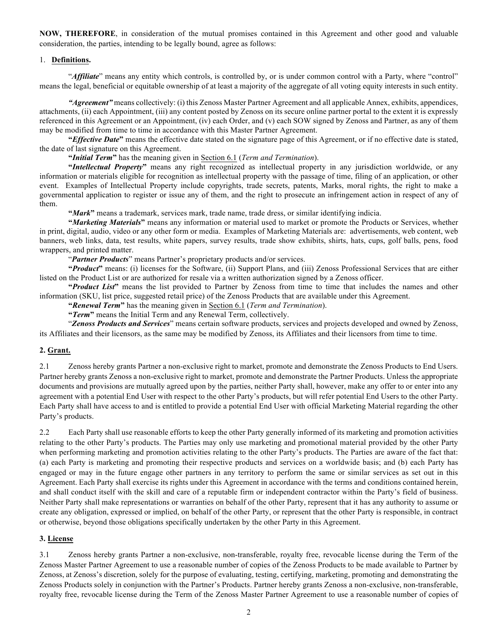**NOW, THEREFORE**, in consideration of the mutual promises contained in this Agreement and other good and valuable consideration, the parties, intending to be legally bound, agree as follows:

#### 1. **Definitions.**

"*Affiliate*" means any entity which controls, is controlled by, or is under common control with a Party, where "control" means the legal, beneficial or equitable ownership of at least a majority of the aggregate of all voting equity interests in such entity.

*"Agreement"* means collectively: (i) this Zenoss Master Partner Agreement and all applicable Annex, exhibits, appendices, attachments, (ii) each Appointment, (iii) any content posted by Zenoss on its secure online partner portal to the extent it is expressly referenced in this Agreement or an Appointment, (iv) each Order, and (v) each SOW signed by Zenoss and Partner, as any of them may be modified from time to time in accordance with this Master Partner Agreement.

**"***Effective Date***"** means the effective date stated on the signature page of this Agreement, or if no effective date is stated, the date of last signature on this Agreement.

**"***Initial Term***"** has the meaning given in Section 6.1 (*Term and Termination*).

**"***Intellectual Property***"** means any right recognized as intellectual property in any jurisdiction worldwide, or any information or materials eligible for recognition as intellectual property with the passage of time, filing of an application, or other event. Examples of Intellectual Property include copyrights, trade secrets, patents, Marks, moral rights, the right to make a governmental application to register or issue any of them, and the right to prosecute an infringement action in respect of any of them.

**"***Mark***"** means a trademark, services mark, trade name, trade dress, or similar identifying indicia.

**"***Marketing Materials***"** means any information or material used to market or promote the Products or Services, whether in print, digital, audio, video or any other form or media. Examples of Marketing Materials are: advertisements, web content, web banners, web links, data, test results, white papers, survey results, trade show exhibits, shirts, hats, cups, golf balls, pens, food wrappers, and printed matter.

"*Partner Products*" means Partner's proprietary products and/or services.

**"***Product***"** means: (i) licenses for the Software, (ii) Support Plans, and (iii) Zenoss Professional Services that are either listed on the Product List or are authorized for resale via a written authorization signed by a Zenoss officer.

**"***Product List***"** means the list provided to Partner by Zenoss from time to time that includes the names and other information (SKU, list price, suggested retail price) of the Zenoss Products that are available under this Agreement.

**"***Renewal Term***"** has the meaning given in Section 6.1 (*Term and Termination*).

**"***Term***"** means the Initial Term and any Renewal Term, collectively.

"*Zenoss Products and Services*" means certain software products, services and projects developed and owned by Zenoss, its Affiliates and their licensors, as the same may be modified by Zenoss, its Affiliates and their licensors from time to time.

#### **2. Grant.**

2.1 Zenoss hereby grants Partner a non-exclusive right to market, promote and demonstrate the Zenoss Products to End Users. Partner hereby grants Zenoss a non-exclusive right to market, promote and demonstrate the Partner Products. Unless the appropriate documents and provisions are mutually agreed upon by the parties, neither Party shall, however, make any offer to or enter into any agreement with a potential End User with respect to the other Party's products, but will refer potential End Users to the other Party. Each Party shall have access to and is entitled to provide a potential End User with official Marketing Material regarding the other Party's products.

2.2 Each Party shall use reasonable efforts to keep the other Party generally informed of its marketing and promotion activities relating to the other Party's products. The Parties may only use marketing and promotional material provided by the other Party when performing marketing and promotion activities relating to the other Party's products. The Parties are aware of the fact that: (a) each Party is marketing and promoting their respective products and services on a worldwide basis; and (b) each Party has engaged or may in the future engage other partners in any territory to perform the same or similar services as set out in this Agreement. Each Party shall exercise its rights under this Agreement in accordance with the terms and conditions contained herein, and shall conduct itself with the skill and care of a reputable firm or independent contractor within the Party's field of business. Neither Party shall make representations or warranties on behalf of the other Party, represent that it has any authority to assume or create any obligation, expressed or implied, on behalf of the other Party, or represent that the other Party is responsible, in contract or otherwise, beyond those obligations specifically undertaken by the other Party in this Agreement.

#### **3. License**

3.1 Zenoss hereby grants Partner a non-exclusive, non-transferable, royalty free, revocable license during the Term of the Zenoss Master Partner Agreement to use a reasonable number of copies of the Zenoss Products to be made available to Partner by Zenoss, at Zenoss's discretion, solely for the purpose of evaluating, testing, certifying, marketing, promoting and demonstrating the Zenoss Products solely in conjunction with the Partner's Products. Partner hereby grants Zenoss a non-exclusive, non-transferable, royalty free, revocable license during the Term of the Zenoss Master Partner Agreement to use a reasonable number of copies of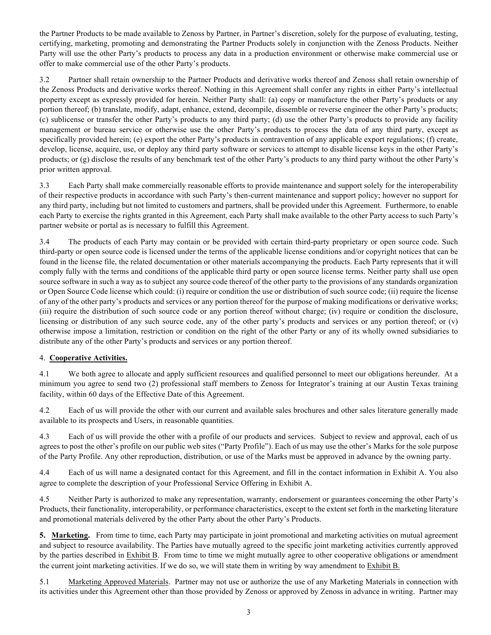the Partner Products to be made available to Zenoss by Partner, in Partner's discretion, solely for the purpose of evaluating, testing, certifying, marketing, promoting and demonstrating the Partner Products solely in conjunction with the Zenoss Products. Neither Party will use the other Party's products to process any data in a production environment or otherwise make commercial use or offer to make commercial use of the other Party's products.

3.2 Partner shall retain ownership to the Partner Products and derivative works thereof and Zenoss shall retain ownership of the Zenoss Products and derivative works thereof. Nothing in this Agreement shall confer any rights in either Party's intellectual property except as expressly provided for herein. Neither Party shall: (a) copy or manufacture the other Party's products or any portion thereof; (b) translate, modify, adapt, enhance, extend, decompile, dissemble or reverse engineer the other Party's products; (c) sublicense or transfer the other Party's products to any third party; (d) use the other Party's products to provide any facility management or bureau service or otherwise use the other Party's products to process the data of any third party, except as specifically provided herein; (e) export the other Party's products in contravention of any applicable export regulations; (f) create, develop, license, acquire, use, or deploy any third party software or services to attempt to disable license keys in the other Party's products; or (g) disclose the results of any benchmark test of the other Party's products to any third party without the other Party's prior written approval.

3.3 Each Party shall make commercially reasonable efforts to provide maintenance and support solely for the interoperability of their respective products in accordance with such Party's then-current maintenance and support policy; however no support for any third party, including but not limited to customers and partners, shall be provided under this Agreement. Furthermore, to enable each Party to exercise the rights granted in this Agreement, each Party shall make available to the other Party access to such Party's partner website or portal as is necessary to fulfill this Agreement.

3.4 The products of each Party may contain or be provided with certain third-party proprietary or open source code. Such third-party or open source code is licensed under the terms of the applicable license conditions and/or copyright notices that can be found in the license file, the related documentation or other materials accompanying the products. Each Party represents that it will comply fully with the terms and conditions of the applicable third party or open source license terms. Neither party shall use open source software in such a way as to subject any source code thereof of the other party to the provisions of any standards organization or Open Source Code license which could: (i) require or condition the use or distribution of such source code; (ii) require the license of any of the other party's products and services or any portion thereof for the purpose of making modifications or derivative works; (iii) require the distribution of such source code or any portion thereof without charge; (iv) require or condition the disclosure, licensing or distribution of any such source code, any of the other party's products and services or any portion thereof; or (v) otherwise impose a limitation, restriction or condition on the right of the other Party or any of its wholly owned subsidiaries to distribute any of the other Party's products and services or any portion thereof.

### 4. **Cooperative Activities.**

4.1 We both agree to allocate and apply sufficient resources and qualified personnel to meet our obligations hereunder. At a minimum you agree to send two (2) professional staff members to Zenoss for Integrator's training at our Austin Texas training facility, within 60 days of the Effective Date of this Agreement.

4.2 Each of us will provide the other with our current and available sales brochures and other sales literature generally made available to its prospects and Users, in reasonable quantities.

4.3 Each of us will provide the other with a profile of our products and services. Subject to review and approval, each of us agrees to post the other's profile on our public web sites ("Party Profile"). Each of us may use the other's Marks for the sole purpose of the Party Profile. Any other reproduction, distribution, or use of the Marks must be approved in advance by the owning party.

4.4 Each of us will name a designated contact for this Agreement, and fill in the contact information in Exhibit A. You also agree to complete the description of your Professional Service Offering in Exhibit A.

4.5 Neither Party is authorized to make any representation, warranty, endorsement or guarantees concerning the other Party's Products, their functionality, interoperability, or performance characteristics, except to the extent set forth in the marketing literature and promotional materials delivered by the other Party about the other Party's Products.

**5. Marketing.** From time to time, each Party may participate in joint promotional and marketing activities on mutual agreement and subject to resource availability. The Parties have mutually agreed to the specific joint marketing activities currently approved by the parties described in Exhibit B. From time to time we might mutually agree to other cooperative obligations or amendment the current joint marketing activities. If we do so, we will state them in writing by way amendment to Exhibit B.

5.1 Marketing Approved Materials. Partner may not use or authorize the use of any Marketing Materials in connection with its activities under this Agreement other than those provided by Zenoss or approved by Zenoss in advance in writing. Partner may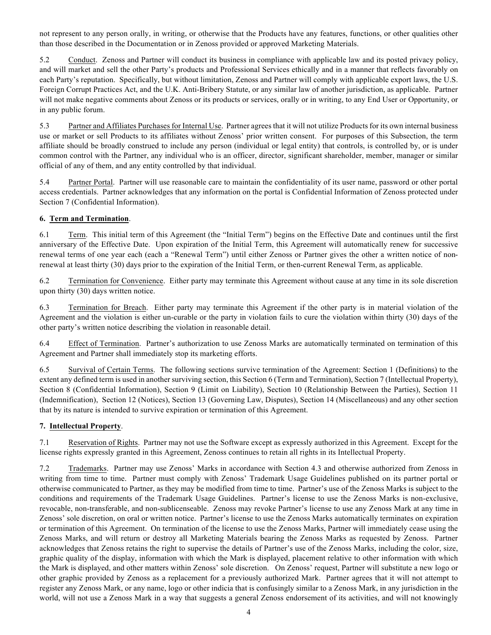not represent to any person orally, in writing, or otherwise that the Products have any features, functions, or other qualities other than those described in the Documentation or in Zenoss provided or approved Marketing Materials.

5.2 Conduct. Zenoss and Partner will conduct its business in compliance with applicable law and its posted privacy policy, and will market and sell the other Party's products and Professional Services ethically and in a manner that reflects favorably on each Party's reputation. Specifically, but without limitation, Zenoss and Partner will comply with applicable export laws, the U.S. Foreign Corrupt Practices Act, and the U.K. Anti-Bribery Statute, or any similar law of another jurisdiction, as applicable. Partner will not make negative comments about Zenoss or its products or services, orally or in writing, to any End User or Opportunity, or in any public forum.

5.3 Partner and Affiliates Purchases for Internal Use. Partner agrees that it will not utilize Products for its own internal business use or market or sell Products to its affiliates without Zenoss' prior written consent. For purposes of this Subsection, the term affiliate should be broadly construed to include any person (individual or legal entity) that controls, is controlled by, or is under common control with the Partner, any individual who is an officer, director, significant shareholder, member, manager or similar official of any of them, and any entity controlled by that individual.

5.4 Partner Portal. Partner will use reasonable care to maintain the confidentiality of its user name, password or other portal access credentials. Partner acknowledges that any information on the portal is Confidential Information of Zenoss protected under Section 7 (Confidential Information).

### **6. Term and Termination**.

6.1 Term. This initial term of this Agreement (the "Initial Term") begins on the Effective Date and continues until the first anniversary of the Effective Date. Upon expiration of the Initial Term, this Agreement will automatically renew for successive renewal terms of one year each (each a "Renewal Term") until either Zenoss or Partner gives the other a written notice of nonrenewal at least thirty (30) days prior to the expiration of the Initial Term, or then-current Renewal Term, as applicable.

6.2 Termination for Convenience. Either party may terminate this Agreement without cause at any time in its sole discretion upon thirty (30) days written notice.

6.3 Termination for Breach. Either party may terminate this Agreement if the other party is in material violation of the Agreement and the violation is either un-curable or the party in violation fails to cure the violation within thirty (30) days of the other party's written notice describing the violation in reasonable detail.

6.4 Effect of Termination. Partner's authorization to use Zenoss Marks are automatically terminated on termination of this Agreement and Partner shall immediately stop its marketing efforts.

6.5 Survival of Certain Terms. The following sections survive termination of the Agreement: Section 1 (Definitions) to the extent any defined term is used in another surviving section, this Section 6 (Term and Termination), Section 7 (Intellectual Property), Section 8 (Confidential Information), Section 9 (Limit on Liability), Section 10 (Relationship Between the Parties), Section 11 (Indemnification), Section 12 (Notices), Section 13 (Governing Law, Disputes), Section 14 (Miscellaneous) and any other section that by its nature is intended to survive expiration or termination of this Agreement.

### **7. Intellectual Property**.

7.1 Reservation of Rights. Partner may not use the Software except as expressly authorized in this Agreement. Except for the license rights expressly granted in this Agreement, Zenoss continues to retain all rights in its Intellectual Property.

7.2 Trademarks. Partner may use Zenoss' Marks in accordance with Section 4.3 and otherwise authorized from Zenoss in writing from time to time. Partner must comply with Zenoss' Trademark Usage Guidelines published on its partner portal or otherwise communicated to Partner, as they may be modified from time to time. Partner's use of the Zenoss Marks is subject to the conditions and requirements of the Trademark Usage Guidelines. Partner's license to use the Zenoss Marks is non-exclusive, revocable, non-transferable, and non-sublicenseable. Zenoss may revoke Partner's license to use any Zenoss Mark at any time in Zenoss' sole discretion, on oral or written notice. Partner's license to use the Zenoss Marks automatically terminates on expiration or termination of this Agreement. On termination of the license to use the Zenoss Marks, Partner will immediately cease using the Zenoss Marks, and will return or destroy all Marketing Materials bearing the Zenoss Marks as requested by Zenoss. Partner acknowledges that Zenoss retains the right to supervise the details of Partner's use of the Zenoss Marks, including the color, size, graphic quality of the display, information with which the Mark is displayed, placement relative to other information with which the Mark is displayed, and other matters within Zenoss' sole discretion. On Zenoss' request, Partner will substitute a new logo or other graphic provided by Zenoss as a replacement for a previously authorized Mark. Partner agrees that it will not attempt to register any Zenoss Mark, or any name, logo or other indicia that is confusingly similar to a Zenoss Mark, in any jurisdiction in the world, will not use a Zenoss Mark in a way that suggests a general Zenoss endorsement of its activities, and will not knowingly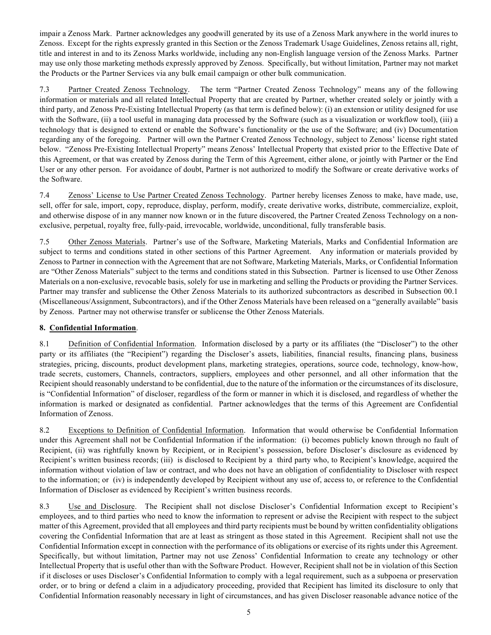impair a Zenoss Mark. Partner acknowledges any goodwill generated by its use of a Zenoss Mark anywhere in the world inures to Zenoss. Except for the rights expressly granted in this Section or the Zenoss Trademark Usage Guidelines, Zenoss retains all, right, title and interest in and to its Zenoss Marks worldwide, including any non-English language version of the Zenoss Marks. Partner may use only those marketing methods expressly approved by Zenoss. Specifically, but without limitation, Partner may not market the Products or the Partner Services via any bulk email campaign or other bulk communication.

7.3 Partner Created Zenoss Technology. The term "Partner Created Zenoss Technology" means any of the following information or materials and all related Intellectual Property that are created by Partner, whether created solely or jointly with a third party, and Zenoss Pre-Existing Intellectual Property (as that term is defined below): (i) an extension or utility designed for use with the Software, (ii) a tool useful in managing data processed by the Software (such as a visualization or workflow tool), (iii) a technology that is designed to extend or enable the Software's functionality or the use of the Software; and (iv) Documentation regarding any of the foregoing. Partner will own the Partner Created Zenoss Technology, subject to Zenoss' license right stated below. "Zenoss Pre-Existing Intellectual Property" means Zenoss' Intellectual Property that existed prior to the Effective Date of this Agreement, or that was created by Zenoss during the Term of this Agreement, either alone, or jointly with Partner or the End User or any other person. For avoidance of doubt, Partner is not authorized to modify the Software or create derivative works of the Software.

7.4 Zenoss' License to Use Partner Created Zenoss Technology. Partner hereby licenses Zenoss to make, have made, use, sell, offer for sale, import, copy, reproduce, display, perform, modify, create derivative works, distribute, commercialize, exploit, and otherwise dispose of in any manner now known or in the future discovered, the Partner Created Zenoss Technology on a nonexclusive, perpetual, royalty free, fully-paid, irrevocable, worldwide, unconditional, fully transferable basis.

7.5 Other Zenoss Materials. Partner's use of the Software, Marketing Materials, Marks and Confidential Information are subject to terms and conditions stated in other sections of this Partner Agreement. Any information or materials provided by Zenoss to Partner in connection with the Agreement that are not Software, Marketing Materials, Marks, or Confidential Information are "Other Zenoss Materials" subject to the terms and conditions stated in this Subsection. Partner is licensed to use Other Zenoss Materials on a non-exclusive, revocable basis, solely for use in marketing and selling the Products or providing the Partner Services. Partner may transfer and sublicense the Other Zenoss Materials to its authorized subcontractors as described in Subsection 00.1 (Miscellaneous/Assignment, Subcontractors), and if the Other Zenoss Materials have been released on a "generally available" basis by Zenoss. Partner may not otherwise transfer or sublicense the Other Zenoss Materials.

### **8. Confidential Information**.

8.1 Definition of Confidential Information. Information disclosed by a party or its affiliates (the "Discloser") to the other party or its affiliates (the "Recipient") regarding the Discloser's assets, liabilities, financial results, financing plans, business strategies, pricing, discounts, product development plans, marketing strategies, operations, source code, technology, know-how, trade secrets, customers, Channels, contractors, suppliers, employees and other personnel, and all other information that the Recipient should reasonably understand to be confidential, due to the nature of the information or the circumstances of its disclosure, is "Confidential Information" of discloser, regardless of the form or manner in which it is disclosed, and regardless of whether the information is marked or designated as confidential. Partner acknowledges that the terms of this Agreement are Confidential Information of Zenoss.

8.2 Exceptions to Definition of Confidential Information. Information that would otherwise be Confidential Information under this Agreement shall not be Confidential Information if the information: (i) becomes publicly known through no fault of Recipient, (ii) was rightfully known by Recipient, or in Recipient's possession, before Discloser's disclosure as evidenced by Recipient's written business records; (iii) is disclosed to Recipient by a third party who, to Recipient's knowledge, acquired the information without violation of law or contract, and who does not have an obligation of confidentiality to Discloser with respect to the information; or (iv) is independently developed by Recipient without any use of, access to, or reference to the Confidential Information of Discloser as evidenced by Recipient's written business records.

8.3 Use and Disclosure. The Recipient shall not disclose Discloser's Confidential Information except to Recipient's employees, and to third parties who need to know the information to represent or advise the Recipient with respect to the subject matter of this Agreement, provided that all employees and third party recipients must be bound by written confidentiality obligations covering the Confidential Information that are at least as stringent as those stated in this Agreement. Recipient shall not use the Confidential Information except in connection with the performance of its obligations or exercise of its rights under this Agreement. Specifically, but without limitation, Partner may not use Zenoss' Confidential Information to create any technology or other Intellectual Property that is useful other than with the Software Product. However, Recipient shall not be in violation of this Section if it discloses or uses Discloser's Confidential Information to comply with a legal requirement, such as a subpoena or preservation order, or to bring or defend a claim in a adjudicatory proceeding, provided that Recipient has limited its disclosure to only that Confidential Information reasonably necessary in light of circumstances, and has given Discloser reasonable advance notice of the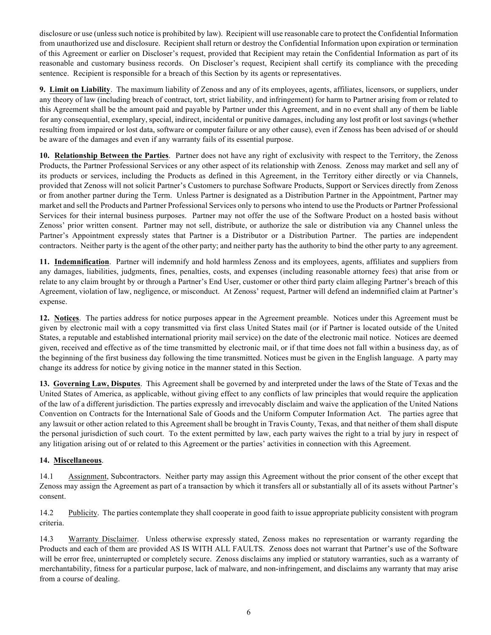disclosure or use (unless such notice is prohibited by law). Recipient will use reasonable care to protect the Confidential Information from unauthorized use and disclosure. Recipient shall return or destroy the Confidential Information upon expiration or termination of this Agreement or earlier on Discloser's request, provided that Recipient may retain the Confidential Information as part of its reasonable and customary business records. On Discloser's request, Recipient shall certify its compliance with the preceding sentence. Recipient is responsible for a breach of this Section by its agents or representatives.

**9. Limit on Liability**. The maximum liability of Zenoss and any of its employees, agents, affiliates, licensors, or suppliers, under any theory of law (including breach of contract, tort, strict liability, and infringement) for harm to Partner arising from or related to this Agreement shall be the amount paid and payable by Partner under this Agreement, and in no event shall any of them be liable for any consequential, exemplary, special, indirect, incidental or punitive damages, including any lost profit or lost savings (whether resulting from impaired or lost data, software or computer failure or any other cause), even if Zenoss has been advised of or should be aware of the damages and even if any warranty fails of its essential purpose.

**10. Relationship Between the Parties**. Partner does not have any right of exclusivity with respect to the Territory, the Zenoss Products, the Partner Professional Services or any other aspect of its relationship with Zenoss. Zenoss may market and sell any of its products or services, including the Products as defined in this Agreement, in the Territory either directly or via Channels, provided that Zenoss will not solicit Partner's Customers to purchase Software Products, Support or Services directly from Zenoss or from another partner during the Term. Unless Partner is designated as a Distribution Partner in the Appointment, Partner may market and sell the Products and Partner Professional Services only to persons who intend to use the Products or Partner Professional Services for their internal business purposes. Partner may not offer the use of the Software Product on a hosted basis without Zenoss' prior written consent. Partner may not sell, distribute, or authorize the sale or distribution via any Channel unless the Partner's Appointment expressly states that Partner is a Distributor or a Distribution Partner. The parties are independent contractors. Neither party is the agent of the other party; and neither party has the authority to bind the other party to any agreement.

**11. Indemnification**. Partner will indemnify and hold harmless Zenoss and its employees, agents, affiliates and suppliers from any damages, liabilities, judgments, fines, penalties, costs, and expenses (including reasonable attorney fees) that arise from or relate to any claim brought by or through a Partner's End User, customer or other third party claim alleging Partner's breach of this Agreement, violation of law, negligence, or misconduct. At Zenoss' request, Partner will defend an indemnified claim at Partner's expense.

**12. Notices**. The parties address for notice purposes appear in the Agreement preamble. Notices under this Agreement must be given by electronic mail with a copy transmitted via first class United States mail (or if Partner is located outside of the United States, a reputable and established international priority mail service) on the date of the electronic mail notice. Notices are deemed given, received and effective as of the time transmitted by electronic mail, or if that time does not fall within a business day, as of the beginning of the first business day following the time transmitted. Notices must be given in the English language. A party may change its address for notice by giving notice in the manner stated in this Section.

**13. Governing Law, Disputes**. This Agreement shall be governed by and interpreted under the laws of the State of Texas and the United States of America, as applicable, without giving effect to any conflicts of law principles that would require the application of the law of a different jurisdiction. The parties expressly and irrevocably disclaim and waive the application of the United Nations Convention on Contracts for the International Sale of Goods and the Uniform Computer Information Act. The parties agree that any lawsuit or other action related to this Agreement shall be brought in Travis County, Texas, and that neither of them shall dispute the personal jurisdiction of such court. To the extent permitted by law, each party waives the right to a trial by jury in respect of any litigation arising out of or related to this Agreement or the parties' activities in connection with this Agreement.

#### **14. Miscellaneous**.

14.1 Assignment, Subcontractors. Neither party may assign this Agreement without the prior consent of the other except that Zenoss may assign the Agreement as part of a transaction by which it transfers all or substantially all of its assets without Partner's consent.

14.2 Publicity. The parties contemplate they shall cooperate in good faith to issue appropriate publicity consistent with program criteria.

14.3 Warranty Disclaimer. Unless otherwise expressly stated, Zenoss makes no representation or warranty regarding the Products and each of them are provided AS IS WITH ALL FAULTS. Zenoss does not warrant that Partner's use of the Software will be error free, uninterrupted or completely secure. Zenoss disclaims any implied or statutory warranties, such as a warranty of merchantability, fitness for a particular purpose, lack of malware, and non-infringement, and disclaims any warranty that may arise from a course of dealing.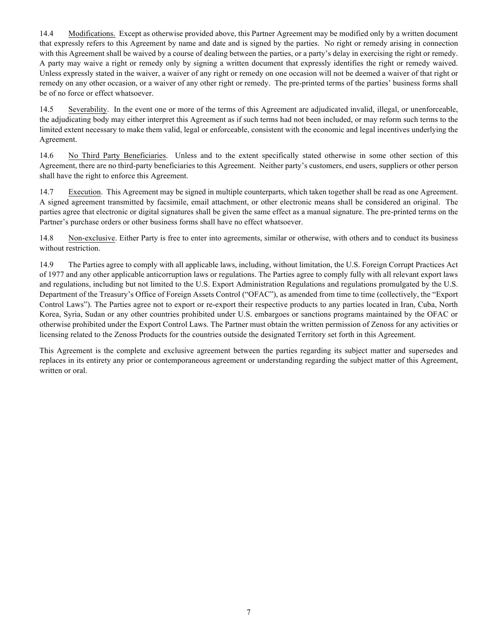14.4 Modifications. Except as otherwise provided above, this Partner Agreement may be modified only by a written document that expressly refers to this Agreement by name and date and is signed by the parties. No right or remedy arising in connection with this Agreement shall be waived by a course of dealing between the parties, or a party's delay in exercising the right or remedy. A party may waive a right or remedy only by signing a written document that expressly identifies the right or remedy waived. Unless expressly stated in the waiver, a waiver of any right or remedy on one occasion will not be deemed a waiver of that right or remedy on any other occasion, or a waiver of any other right or remedy. The pre-printed terms of the parties' business forms shall be of no force or effect whatsoever.

14.5 Severability. In the event one or more of the terms of this Agreement are adjudicated invalid, illegal, or unenforceable, the adjudicating body may either interpret this Agreement as if such terms had not been included, or may reform such terms to the limited extent necessary to make them valid, legal or enforceable, consistent with the economic and legal incentives underlying the Agreement.

14.6 No Third Party Beneficiaries. Unless and to the extent specifically stated otherwise in some other section of this Agreement, there are no third-party beneficiaries to this Agreement. Neither party's customers, end users, suppliers or other person shall have the right to enforce this Agreement.

14.7 Execution. This Agreement may be signed in multiple counterparts, which taken together shall be read as one Agreement. A signed agreement transmitted by facsimile, email attachment, or other electronic means shall be considered an original. The parties agree that electronic or digital signatures shall be given the same effect as a manual signature. The pre-printed terms on the Partner's purchase orders or other business forms shall have no effect whatsoever.

14.8 Non-exclusive. Either Party is free to enter into agreements, similar or otherwise, with others and to conduct its business without restriction.

14.9 The Parties agree to comply with all applicable laws, including, without limitation, the U.S. Foreign Corrupt Practices Act of 1977 and any other applicable anticorruption laws or regulations. The Parties agree to comply fully with all relevant export laws and regulations, including but not limited to the U.S. Export Administration Regulations and regulations promulgated by the U.S. Department of the Treasury's Office of Foreign Assets Control ("OFAC"), as amended from time to time (collectively, the "Export Control Laws"). The Parties agree not to export or re-export their respective products to any parties located in Iran, Cuba, North Korea, Syria, Sudan or any other countries prohibited under U.S. embargoes or sanctions programs maintained by the OFAC or otherwise prohibited under the Export Control Laws. The Partner must obtain the written permission of Zenoss for any activities or licensing related to the Zenoss Products for the countries outside the designated Territory set forth in this Agreement.

This Agreement is the complete and exclusive agreement between the parties regarding its subject matter and supersedes and replaces in its entirety any prior or contemporaneous agreement or understanding regarding the subject matter of this Agreement, written or oral.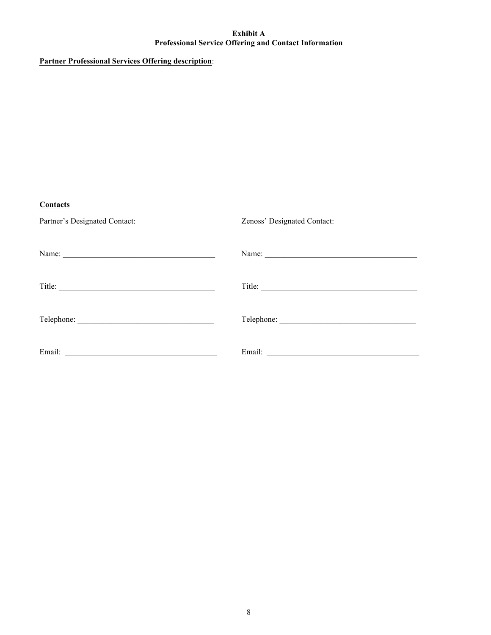#### **Exhibit A Professional Service Offering and Contact Information**

## **Partner Professional Services Offering description**:

| Contacts                                                              |                             |
|-----------------------------------------------------------------------|-----------------------------|
| Partner's Designated Contact:                                         | Zenoss' Designated Contact: |
| Name:                                                                 |                             |
|                                                                       | Title:                      |
|                                                                       |                             |
| Email:<br><u> 1980 - Andrea Station, amerikansk politik (d. 1980)</u> |                             |